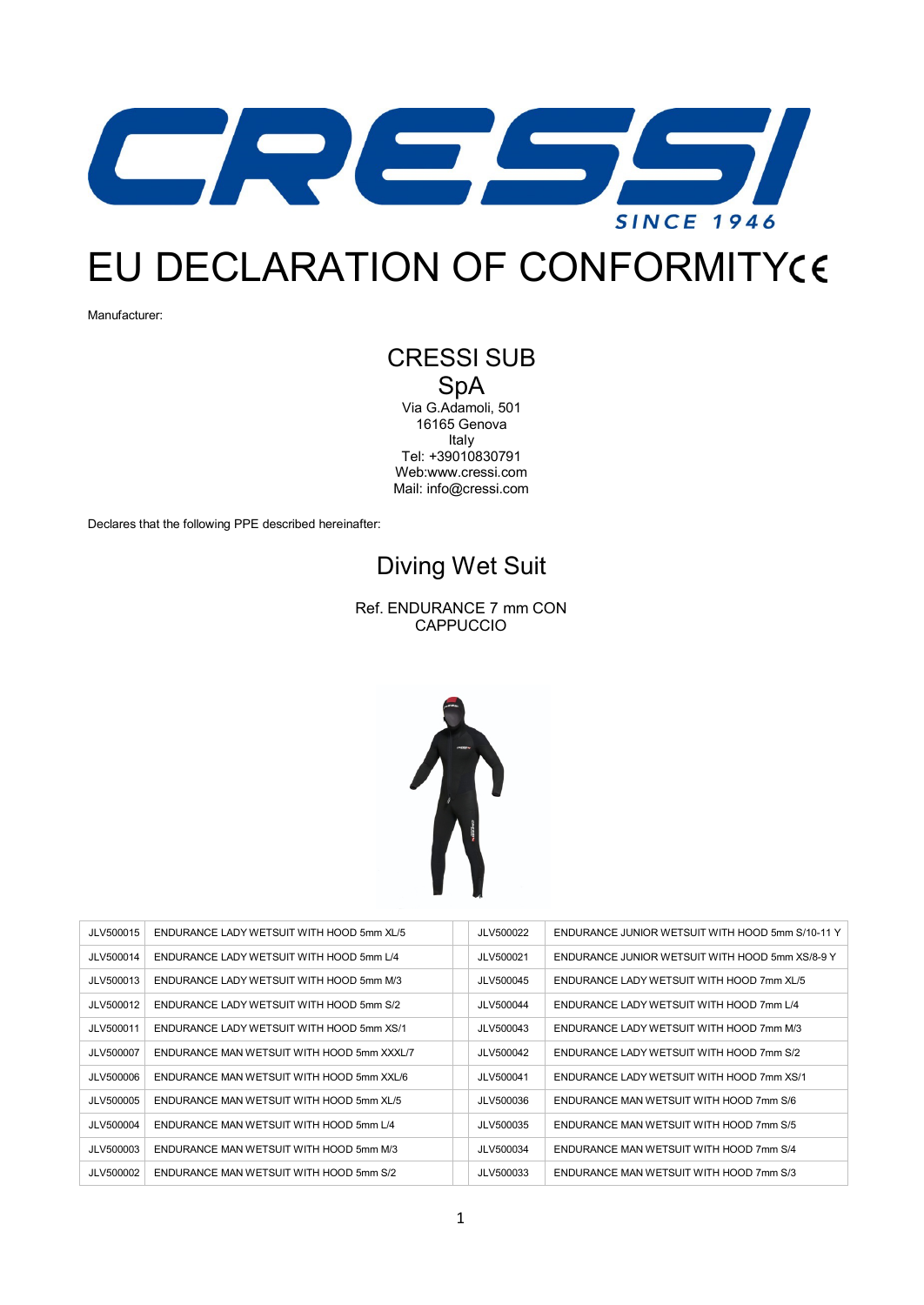

## EU DECLARATION OF CONFORMITY

Manufacturer:

## CRESSI SUB SpA

Via G.Adamoli, 501 16165 Genova Italy Tel: +39010830791 We[b:www.cressi.com](http://www.cressi.com/) Mail: [info@cressi.com](mailto:info@cressi.com)

Declares that the following PPE described hereinafter:

## Diving Wet Suit

Ref. ENDURANCE 7 mm CON CAPPUCCIO



| JLV500015 | ENDURANCE LADY WETSUIT WITH HOOD 5mm XL/5  | JLV500022 | ENDURANCE JUNIOR WETSUIT WITH HOOD 5mm S/10-11 Y |
|-----------|--------------------------------------------|-----------|--------------------------------------------------|
| JLV500014 | ENDURANCE LADY WETSUIT WITH HOOD 5mm L/4   | JLV500021 | ENDURANCE JUNIOR WETSUIT WITH HOOD 5mm XS/8-9 Y  |
| JLV500013 | ENDURANCE LADY WETSUIT WITH HOOD 5mm M/3   | JLV500045 | ENDURANCE LADY WETSUIT WITH HOOD 7mm XL/5        |
| JLV500012 | ENDURANCE LADY WETSUIT WITH HOOD 5mm S/2   | JLV500044 | ENDURANCE LADY WETSUIT WITH HOOD 7mm L/4         |
| JLV500011 | ENDURANCE LADY WETSUIT WITH HOOD 5mm XS/1  | JLV500043 | ENDURANCE LADY WETSUIT WITH HOOD 7mm M/3         |
| JLV500007 | ENDURANCE MAN WETSUIT WITH HOOD 5mm XXXL/7 | JLV500042 | ENDURANCE LADY WETSUIT WITH HOOD 7mm S/2         |
| JLV500006 | ENDURANCE MAN WETSUIT WITH HOOD 5mm XXL/6  | JLV500041 | ENDURANCE LADY WETSUIT WITH HOOD 7mm XS/1        |
| JLV500005 | ENDURANCE MAN WETSUIT WITH HOOD 5mm XL/5   | JLV500036 | ENDURANCE MAN WETSUIT WITH HOOD 7mm S/6          |
| JLV500004 | ENDURANCE MAN WETSUIT WITH HOOD 5mm L/4    | JLV500035 | ENDURANCE MAN WETSUIT WITH HOOD 7mm S/5          |
| JLV500003 | ENDURANCE MAN WETSUIT WITH HOOD 5mm M/3    | JLV500034 | ENDURANCE MAN WETSUIT WITH HOOD 7mm S/4          |
| JLV500002 | ENDURANCE MAN WETSUIT WITH HOOD 5mm S/2    | JLV500033 | ENDURANCE MAN WETSUIT WITH HOOD 7mm S/3          |